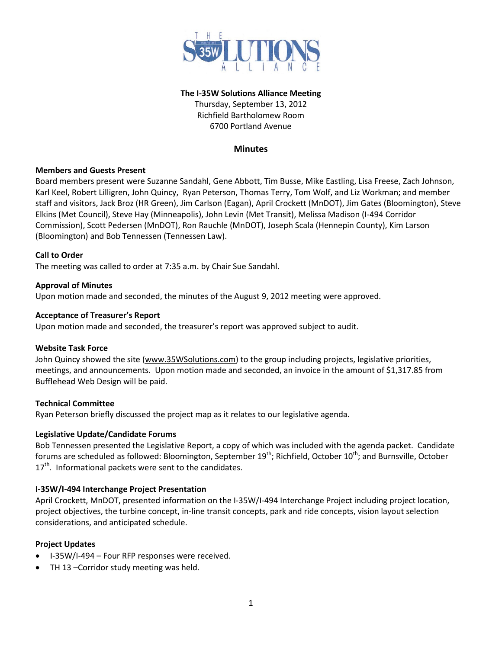

## **The I-35W Solutions Alliance Meeting**

Thursday, September 13, 2012 Richfield Bartholomew Room 6700 Portland Avenue

# **Minutes**

### **Members and Guests Present**

Board members present were Suzanne Sandahl, Gene Abbott, Tim Busse, Mike Eastling, Lisa Freese, Zach Johnson, Karl Keel, Robert Lilligren, John Quincy, Ryan Peterson, Thomas Terry, Tom Wolf, and Liz Workman; and member staff and visitors, Jack Broz (HR Green), Jim Carlson (Eagan), April Crockett (MnDOT), Jim Gates (Bloomington), Steve Elkins (Met Council), Steve Hay (Minneapolis), John Levin (Met Transit), Melissa Madison (I-494 Corridor Commission), Scott Pedersen (MnDOT), Ron Rauchle (MnDOT), Joseph Scala (Hennepin County), Kim Larson (Bloomington) and Bob Tennessen (Tennessen Law).

### **Call to Order**

The meeting was called to order at 7:35 a.m. by Chair Sue Sandahl.

### **Approval of Minutes**

Upon motion made and seconded, the minutes of the August 9, 2012 meeting were approved.

### **Acceptance of Treasurer's Report**

Upon motion made and seconded, the treasurer's report was approved subject to audit.

## **Website Task Force**

John Quincy showed the site [\(www.35WSolutions.com\)](http://www.35wsolutions.com/) to the group including projects, legislative priorities, meetings, and announcements. Upon motion made and seconded, an invoice in the amount of \$1,317.85 from Bufflehead Web Design will be paid.

#### **Technical Committee**

Ryan Peterson briefly discussed the project map as it relates to our legislative agenda.

## **Legislative Update/Candidate Forums**

Bob Tennessen presented the Legislative Report, a copy of which was included with the agenda packet. Candidate forums are scheduled as followed: Bloomington, September 19<sup>th</sup>; Richfield, October 10<sup>th</sup>; and Burnsville, October  $17<sup>th</sup>$ . Informational packets were sent to the candidates.

## **I-35W/I-494 Interchange Project Presentation**

April Crockett, MnDOT, presented information on the I-35W/I-494 Interchange Project including project location, project objectives, the turbine concept, in-line transit concepts, park and ride concepts, vision layout selection considerations, and anticipated schedule.

## **Project Updates**

- I-35W/I-494 Four RFP responses were received.
- TH 13 –Corridor study meeting was held.